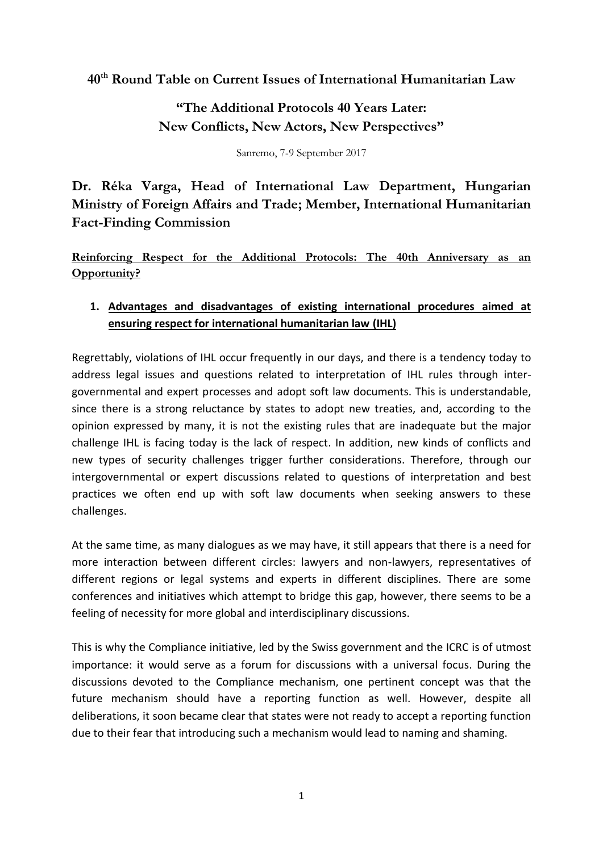**40th Round Table on Current Issues of International Humanitarian Law**

**"The Additional Protocols 40 Years Later: New Conflicts, New Actors, New Perspectives"**

Sanremo, 7-9 September 2017

**Dr. Réka Varga, Head of International Law Department, Hungarian Ministry of Foreign Affairs and Trade; Member, International Humanitarian Fact-Finding Commission**

**Reinforcing Respect for the Additional Protocols: The 40th Anniversary as an Opportunity?**

## **1. Advantages and disadvantages of existing international procedures aimed at ensuring respect for international humanitarian law (IHL)**

Regrettably, violations of IHL occur frequently in our days, and there is a tendency today to address legal issues and questions related to interpretation of IHL rules through intergovernmental and expert processes and adopt soft law documents. This is understandable, since there is a strong reluctance by states to adopt new treaties, and, according to the opinion expressed by many, it is not the existing rules that are inadequate but the major challenge IHL is facing today is the lack of respect. In addition, new kinds of conflicts and new types of security challenges trigger further considerations. Therefore, through our intergovernmental or expert discussions related to questions of interpretation and best practices we often end up with soft law documents when seeking answers to these challenges.

At the same time, as many dialogues as we may have, it still appears that there is a need for more interaction between different circles: lawyers and non-lawyers, representatives of different regions or legal systems and experts in different disciplines. There are some conferences and initiatives which attempt to bridge this gap, however, there seems to be a feeling of necessity for more global and interdisciplinary discussions.

This is why the Compliance initiative, led by the Swiss government and the ICRC is of utmost importance: it would serve as a forum for discussions with a universal focus. During the discussions devoted to the Compliance mechanism, one pertinent concept was that the future mechanism should have a reporting function as well. However, despite all deliberations, it soon became clear that states were not ready to accept a reporting function due to their fear that introducing such a mechanism would lead to naming and shaming.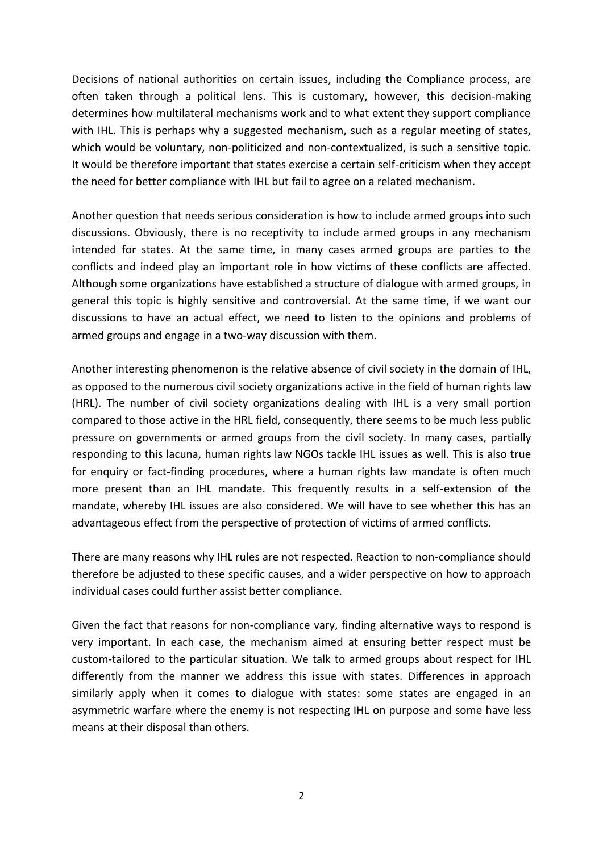Decisions of national authorities on certain issues, including the Compliance process, are often taken through a political lens. This is customary, however, this decision-making determines how multilateral mechanisms work and to what extent they support compliance with IHL. This is perhaps why a suggested mechanism, such as a regular meeting of states, which would be voluntary, non-politicized and non-contextualized, is such a sensitive topic. It would be therefore important that states exercise a certain self-criticism when they accept the need for better compliance with IHL but fail to agree on a related mechanism.

Another question that needs serious consideration is how to include armed groups into such discussions. Obviously, there is no receptivity to include armed groups in any mechanism intended for states. At the same time, in many cases armed groups are parties to the conflicts and indeed play an important role in how victims of these conflicts are affected. Although some organizations have established a structure of dialogue with armed groups, in general this topic is highly sensitive and controversial. At the same time, if we want our discussions to have an actual effect, we need to listen to the opinions and problems of armed groups and engage in a two-way discussion with them.

Another interesting phenomenon is the relative absence of civil society in the domain of IHL, as opposed to the numerous civil society organizations active in the field of human rights law (HRL). The number of civil society organizations dealing with IHL is a very small portion compared to those active in the HRL field, consequently, there seems to be much less public pressure on governments or armed groups from the civil society. In many cases, partially responding to this lacuna, human rights law NGOs tackle IHL issues as well. This is also true for enquiry or fact-finding procedures, where a human rights law mandate is often much more present than an IHL mandate. This frequently results in a self-extension of the mandate, whereby IHL issues are also considered. We will have to see whether this has an advantageous effect from the perspective of protection of victims of armed conflicts.

There are many reasons why IHL rules are not respected. Reaction to non-compliance should therefore be adjusted to these specific causes, and a wider perspective on how to approach individual cases could further assist better compliance.

Given the fact that reasons for non-compliance vary, finding alternative ways to respond is very important. In each case, the mechanism aimed at ensuring better respect must be custom-tailored to the particular situation. We talk to armed groups about respect for IHL differently from the manner we address this issue with states. Differences in approach similarly apply when it comes to dialogue with states: some states are engaged in an asymmetric warfare where the enemy is not respecting IHL on purpose and some have less means at their disposal than others.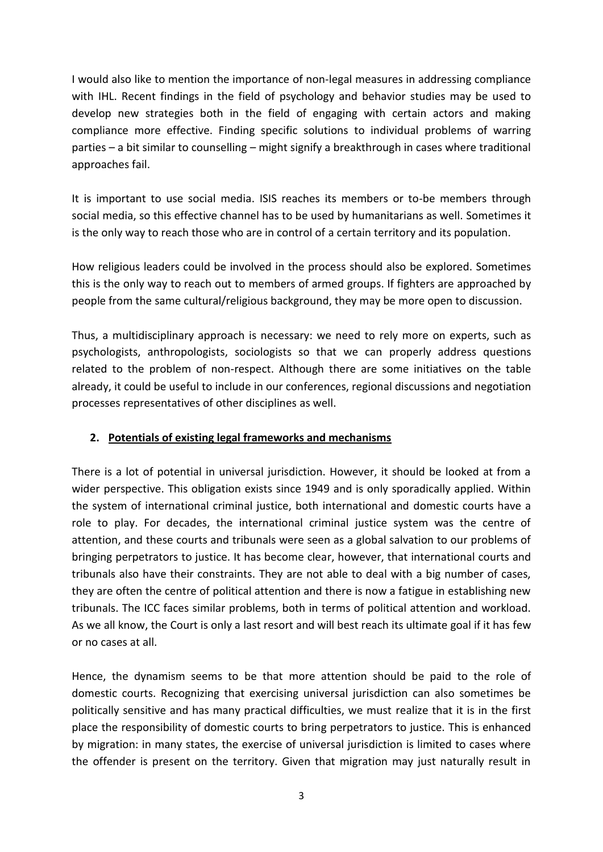I would also like to mention the importance of non-legal measures in addressing compliance with IHL. Recent findings in the field of psychology and behavior studies may be used to develop new strategies both in the field of engaging with certain actors and making compliance more effective. Finding specific solutions to individual problems of warring parties – a bit similar to counselling – might signify a breakthrough in cases where traditional approaches fail.

It is important to use social media. ISIS reaches its members or to-be members through social media, so this effective channel has to be used by humanitarians as well. Sometimes it is the only way to reach those who are in control of a certain territory and its population.

How religious leaders could be involved in the process should also be explored. Sometimes this is the only way to reach out to members of armed groups. If fighters are approached by people from the same cultural/religious background, they may be more open to discussion.

Thus, a multidisciplinary approach is necessary: we need to rely more on experts, such as psychologists, anthropologists, sociologists so that we can properly address questions related to the problem of non-respect. Although there are some initiatives on the table already, it could be useful to include in our conferences, regional discussions and negotiation processes representatives of other disciplines as well.

## **2. Potentials of existing legal frameworks and mechanisms**

There is a lot of potential in universal jurisdiction. However, it should be looked at from a wider perspective. This obligation exists since 1949 and is only sporadically applied. Within the system of international criminal justice, both international and domestic courts have a role to play. For decades, the international criminal justice system was the centre of attention, and these courts and tribunals were seen as a global salvation to our problems of bringing perpetrators to justice. It has become clear, however, that international courts and tribunals also have their constraints. They are not able to deal with a big number of cases, they are often the centre of political attention and there is now a fatigue in establishing new tribunals. The ICC faces similar problems, both in terms of political attention and workload. As we all know, the Court is only a last resort and will best reach its ultimate goal if it has few or no cases at all.

Hence, the dynamism seems to be that more attention should be paid to the role of domestic courts. Recognizing that exercising universal jurisdiction can also sometimes be politically sensitive and has many practical difficulties, we must realize that it is in the first place the responsibility of domestic courts to bring perpetrators to justice. This is enhanced by migration: in many states, the exercise of universal jurisdiction is limited to cases where the offender is present on the territory. Given that migration may just naturally result in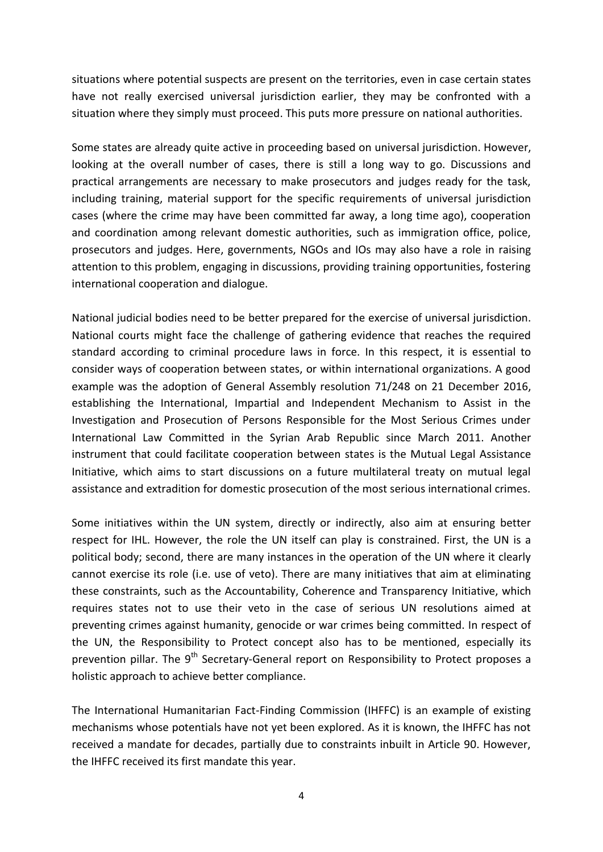situations where potential suspects are present on the territories, even in case certain states have not really exercised universal jurisdiction earlier, they may be confronted with a situation where they simply must proceed. This puts more pressure on national authorities.

Some states are already quite active in proceeding based on universal jurisdiction. However, looking at the overall number of cases, there is still a long way to go. Discussions and practical arrangements are necessary to make prosecutors and judges ready for the task, including training, material support for the specific requirements of universal jurisdiction cases (where the crime may have been committed far away, a long time ago), cooperation and coordination among relevant domestic authorities, such as immigration office, police, prosecutors and judges. Here, governments, NGOs and IOs may also have a role in raising attention to this problem, engaging in discussions, providing training opportunities, fostering international cooperation and dialogue.

National judicial bodies need to be better prepared for the exercise of universal jurisdiction. National courts might face the challenge of gathering evidence that reaches the required standard according to criminal procedure laws in force. In this respect, it is essential to consider ways of cooperation between states, or within international organizations. A good example was the adoption of General Assembly resolution [71/248](http://www.un.org/ga/search/view_doc.asp?symbol=A/RES/71/248) on 21 December 2016, establishing the International, Impartial and Independent Mechanism to Assist in the Investigation and Prosecution of Persons Responsible for the Most Serious Crimes under International Law Committed in the Syrian Arab Republic since March 2011. Another instrument that could facilitate cooperation between states is the Mutual Legal Assistance Initiative, which aims to start discussions on a future multilateral treaty on mutual legal assistance and extradition for domestic prosecution of the most serious international crimes.

Some initiatives within the UN system, directly or indirectly, also aim at ensuring better respect for IHL. However, the role the UN itself can play is constrained. First, the UN is a political body; second, there are many instances in the operation of the UN where it clearly cannot exercise its role (i.e. use of veto). There are many initiatives that aim at eliminating these constraints, such as the Accountability, Coherence and Transparency Initiative, which requires states not to use their veto in the case of serious UN resolutions aimed at preventing crimes against humanity, genocide or war crimes being committed. In respect of the UN, the Responsibility to Protect concept also has to be mentioned, especially its prevention pillar. The 9<sup>th</sup> Secretary-General report on Responsibility to Protect proposes a holistic approach to achieve better compliance.

The International Humanitarian Fact-Finding Commission (IHFFC) is an example of existing mechanisms whose potentials have not yet been explored. As it is known, the IHFFC has not received a mandate for decades, partially due to constraints inbuilt in Article 90. However, the IHFFC received its first mandate this year.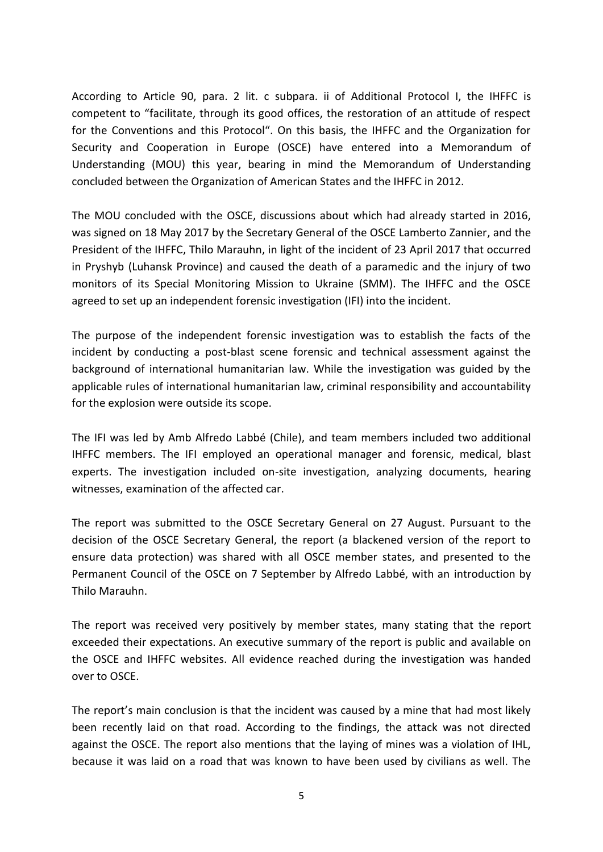According to Article 90, para. 2 lit. c subpara. ii of Additional Protocol I, the IHFFC is competent to "facilitate, through its good offices, the restoration of an attitude of respect for the Conventions and this Protocol". On this basis, the IHFFC and the Organization for Security and Cooperation in Europe (OSCE) have entered into a Memorandum of Understanding (MOU) this year, bearing in mind the Memorandum of Understanding concluded between the Organization of American States and the IHFFC in 2012.

The MOU concluded with the OSCE, discussions about which had already started in 2016, was signed on 18 May 2017 by the Secretary General of the OSCE Lamberto Zannier, and the President of the IHFFC, Thilo Marauhn, in light of the incident of 23 April 2017 that occurred in Pryshyb (Luhansk Province) and caused the death of a paramedic and the injury of two monitors of its Special Monitoring Mission to Ukraine (SMM). The IHFFC and the OSCE agreed to set up an independent forensic investigation (IFI) into the incident.

The purpose of the independent forensic investigation was to establish the facts of the incident by conducting a post-blast scene forensic and technical assessment against the background of international humanitarian law. While the investigation was guided by the applicable rules of international humanitarian law, criminal responsibility and accountability for the explosion were outside its scope.

The IFI was led by Amb Alfredo Labbé (Chile), and team members included two additional IHFFC members. The IFI employed an operational manager and forensic, medical, blast experts. The investigation included on-site investigation, analyzing documents, hearing witnesses, examination of the affected car.

The report was submitted to the OSCE Secretary General on 27 August. Pursuant to the decision of the OSCE Secretary General, the report (a blackened version of the report to ensure data protection) was shared with all OSCE member states, and presented to the Permanent Council of the OSCE on 7 September by Alfredo Labbé, with an introduction by Thilo Marauhn.

The report was received very positively by member states, many stating that the report exceeded their expectations. An executive summary of the report is public and available on the OSCE and IHFFC websites. All evidence reached during the investigation was handed over to OSCE.

The report's main conclusion is that the incident was caused by a mine that had most likely been recently laid on that road. According to the findings, the attack was not directed against the OSCE. The report also mentions that the laying of mines was a violation of IHL, because it was laid on a road that was known to have been used by civilians as well. The